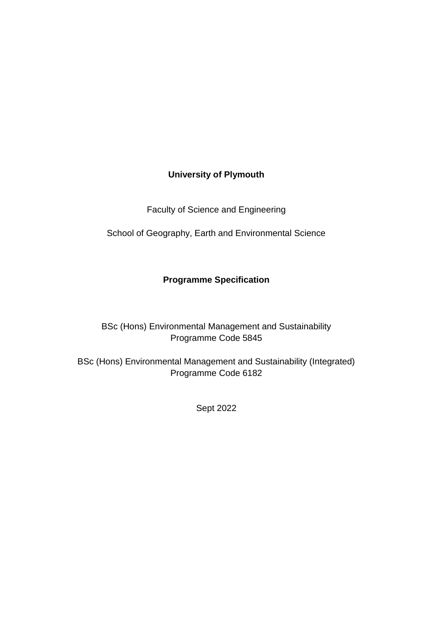# **University of Plymouth**

Faculty of Science and Engineering

School of Geography, Earth and Environmental Science

# **Programme Specification**

# BSc (Hons) Environmental Management and Sustainability Programme Code 5845

BSc (Hons) Environmental Management and Sustainability (Integrated) Programme Code 6182

Sept 2022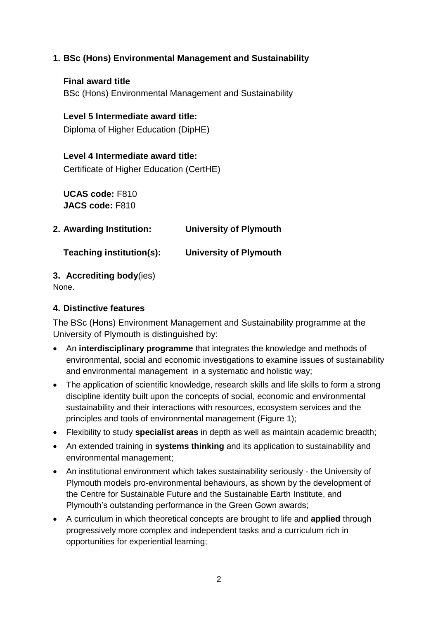## **1. BSc (Hons) Environmental Management and Sustainability**

**Final award title** BSc (Hons) Environmental Management and Sustainability

#### **Level 5 Intermediate award title:**

Diploma of Higher Education (DipHE)

#### **Level 4 Intermediate award title:**

Certificate of Higher Education (CertHE)

**UCAS code:** F810 **JACS code:** F810

| 2. Awarding Institution: | <b>University of Plymouth</b> |
|--------------------------|-------------------------------|
|                          |                               |

**Teaching institution(s): University of Plymouth**

#### **3. Accrediting body**(ies)

None.

#### **4. Distinctive features**

The BSc (Hons) Environment Management and Sustainability programme at the University of Plymouth is distinguished by:

- An **interdisciplinary programme** that integrates the knowledge and methods of environmental, social and economic investigations to examine issues of sustainability and environmental management in a systematic and holistic way;
- The application of scientific knowledge, research skills and life skills to form a strong discipline identity built upon the concepts of social, economic and environmental sustainability and their interactions with resources, ecosystem services and the principles and tools of environmental management (Figure 1);
- Flexibility to study **specialist areas** in depth as well as maintain academic breadth;
- An extended training in **systems thinking** and its application to sustainability and environmental management;
- An institutional environment which takes sustainability seriously the University of Plymouth models pro-environmental behaviours, as shown by the development of the Centre for Sustainable Future and the Sustainable Earth Institute, and Plymouth's outstanding performance in the Green Gown awards;
- A curriculum in which theoretical concepts are brought to life and **applied** through progressively more complex and independent tasks and a curriculum rich in opportunities for experiential learning;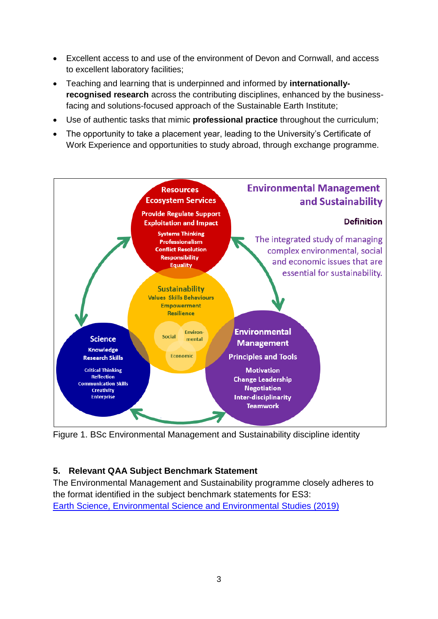- Excellent access to and use of the environment of Devon and Cornwall, and access to excellent laboratory facilities;
- Teaching and learning that is underpinned and informed by **internationallyrecognised research** across the contributing disciplines, enhanced by the businessfacing and solutions-focused approach of the Sustainable Earth Institute;
- Use of authentic tasks that mimic **professional practice** throughout the curriculum;
- The opportunity to take a placement year, leading to the University's Certificate of Work Experience and opportunities to study abroad, through exchange programme.



Figure 1. BSc Environmental Management and Sustainability discipline identity

# **5. Relevant QAA Subject Benchmark Statement**

The Environmental Management and Sustainability programme closely adheres to the format identified in the subject benchmark statements for ES3: [Earth Science, Environmental Science and Environmental](https://www.qaa.ac.uk/docs/qaa/subject-benchmark-statements/subject-benchmark-statement-earth-sciences-environmental-sciences-and-environmental-studies.pdf) Studies (2019)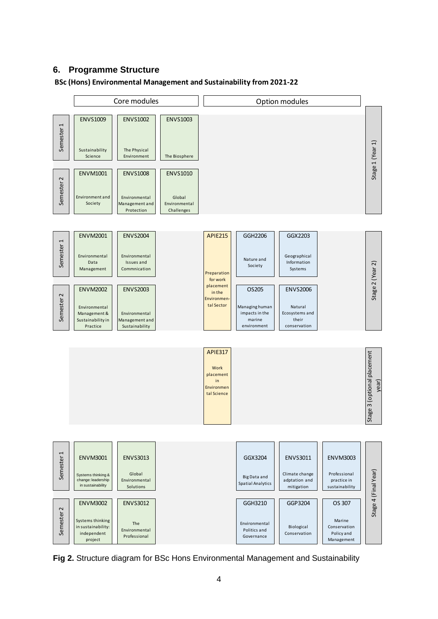#### **6. Programme Structure**

#### **BSc (Hons) Environmental Management and Sustainability from 2021-22**



**Fig 2.** Structure diagram for BSc Hons Environmental Management and Sustainability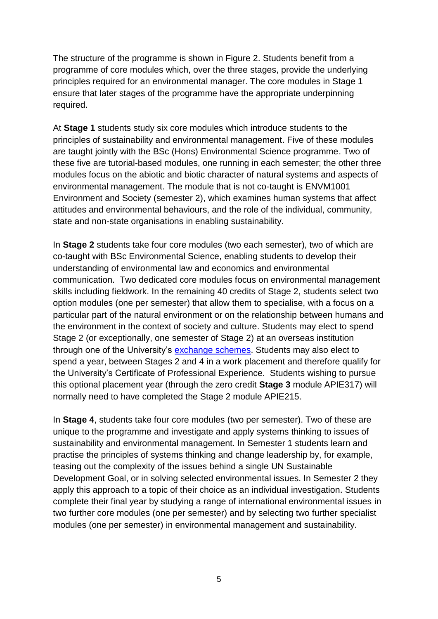The structure of the programme is shown in Figure 2. Students benefit from a programme of core modules which, over the three stages, provide the underlying principles required for an environmental manager. The core modules in Stage 1 ensure that later stages of the programme have the appropriate underpinning required.

At **Stage 1** students study six core modules which introduce students to the principles of sustainability and environmental management. Five of these modules are taught jointly with the BSc (Hons) Environmental Science programme. Two of these five are tutorial-based modules, one running in each semester; the other three modules focus on the abiotic and biotic character of natural systems and aspects of environmental management. The module that is not co-taught is ENVM1001 Environment and Society (semester 2), which examines human systems that affect attitudes and environmental behaviours, and the role of the individual, community, state and non-state organisations in enabling sustainability.

In **Stage 2** students take four core modules (two each semester), two of which are co-taught with BSc Environmental Science, enabling students to develop their understanding of environmental law and economics and environmental communication. Two dedicated core modules focus on environmental management skills including fieldwork. In the remaining 40 credits of Stage 2, students select two option modules (one per semester) that allow them to specialise, with a focus on a particular part of the natural environment or on the relationship between humans and the environment in the context of society and culture. Students may elect to spend Stage 2 (or exceptionally, one semester of Stage 2) at an overseas institution through one of the University's [exchange schemes.](https://www.plymouth.ac.uk/international/exchange-opportunities) Students may also elect to spend a year, between Stages 2 and 4 in a work placement and therefore qualify for the University's Certificate of Professional Experience. Students wishing to pursue this optional placement year (through the zero credit **Stage 3** module APIE317) will normally need to have completed the Stage 2 module APIE215.

In **Stage 4**, students take four core modules (two per semester). Two of these are unique to the programme and investigate and apply systems thinking to issues of sustainability and environmental management. In Semester 1 students learn and practise the principles of systems thinking and change leadership by, for example, teasing out the complexity of the issues behind a single UN Sustainable Development Goal, or in solving selected environmental issues. In Semester 2 they apply this approach to a topic of their choice as an individual investigation. Students complete their final year by studying a range of international environmental issues in two further core modules (one per semester) and by selecting two further specialist modules (one per semester) in environmental management and sustainability.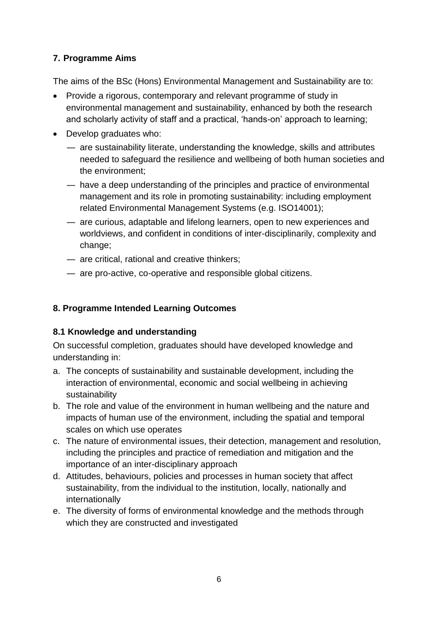# **7. Programme Aims**

The aims of the BSc (Hons) Environmental Management and Sustainability are to:

- Provide a rigorous, contemporary and relevant programme of study in environmental management and sustainability, enhanced by both the research and scholarly activity of staff and a practical, 'hands-on' approach to learning;
- Develop graduates who:
	- ― are sustainability literate, understanding the knowledge, skills and attributes needed to safeguard the resilience and wellbeing of both human societies and the environment;
	- ― have a deep understanding of the principles and practice of environmental management and its role in promoting sustainability: including employment related Environmental Management Systems (e.g. ISO14001);
	- ― are curious, adaptable and lifelong learners, open to new experiences and worldviews, and confident in conditions of inter-disciplinarily, complexity and change;
	- ― are critical, rational and creative thinkers;
	- ― are pro-active, co-operative and responsible global citizens.

## **8. Programme Intended Learning Outcomes**

#### **8.1 Knowledge and understanding**

On successful completion, graduates should have developed knowledge and understanding in:

- a. The concepts of sustainability and sustainable development, including the interaction of environmental, economic and social wellbeing in achieving sustainability
- b. The role and value of the environment in human wellbeing and the nature and impacts of human use of the environment, including the spatial and temporal scales on which use operates
- c. The nature of environmental issues, their detection, management and resolution, including the principles and practice of remediation and mitigation and the importance of an inter-disciplinary approach
- d. Attitudes, behaviours, policies and processes in human society that affect sustainability, from the individual to the institution, locally, nationally and internationally
- e. The diversity of forms of environmental knowledge and the methods through which they are constructed and investigated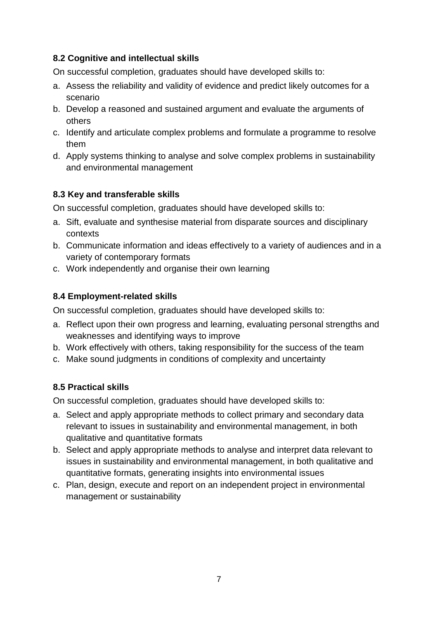#### **8.2 Cognitive and intellectual skills**

On successful completion, graduates should have developed skills to:

- a. Assess the reliability and validity of evidence and predict likely outcomes for a scenario
- b. Develop a reasoned and sustained argument and evaluate the arguments of others
- c. Identify and articulate complex problems and formulate a programme to resolve them
- d. Apply systems thinking to analyse and solve complex problems in sustainability and environmental management

## **8.3 Key and transferable skills**

On successful completion, graduates should have developed skills to:

- a. Sift, evaluate and synthesise material from disparate sources and disciplinary contexts
- b. Communicate information and ideas effectively to a variety of audiences and in a variety of contemporary formats
- c. Work independently and organise their own learning

## **8.4 Employment-related skills**

On successful completion, graduates should have developed skills to:

- a. Reflect upon their own progress and learning, evaluating personal strengths and weaknesses and identifying ways to improve
- b. Work effectively with others, taking responsibility for the success of the team
- c. Make sound judgments in conditions of complexity and uncertainty

# **8.5 Practical skills**

On successful completion, graduates should have developed skills to:

- a. Select and apply appropriate methods to collect primary and secondary data relevant to issues in sustainability and environmental management, in both qualitative and quantitative formats
- b. Select and apply appropriate methods to analyse and interpret data relevant to issues in sustainability and environmental management, in both qualitative and quantitative formats, generating insights into environmental issues
- c. Plan, design, execute and report on an independent project in environmental management or sustainability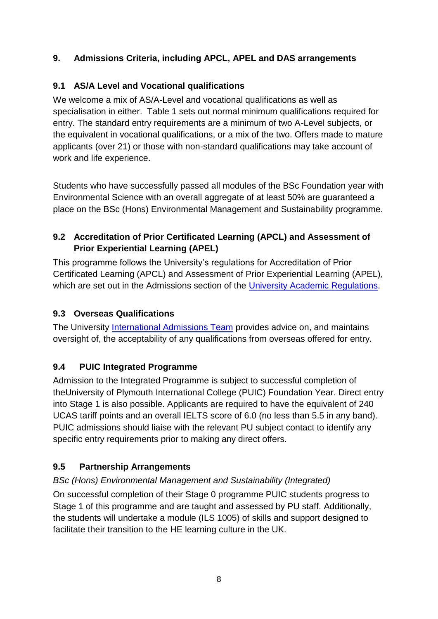# **9. Admissions Criteria, including APCL, APEL and DAS arrangements**

# **9.1 AS/A Level and Vocational qualifications**

We welcome a mix of AS/A-Level and vocational qualifications as well as specialisation in either. Table 1 sets out normal minimum qualifications required for entry. The standard entry requirements are a minimum of two A-Level subjects, or the equivalent in vocational qualifications, or a mix of the two. Offers made to mature applicants (over 21) or those with non-standard qualifications may take account of work and life experience.

Students who have successfully passed all modules of the BSc Foundation year with Environmental Science with an overall aggregate of at least 50% are guaranteed a place on the BSc (Hons) Environmental Management and Sustainability programme.

# **9.2 Accreditation of Prior Certificated Learning (APCL) and Assessment of Prior Experiential Learning (APEL)**

This programme follows the University's regulations for Accreditation of Prior Certificated Learning (APCL) and Assessment of Prior Experiential Learning (APEL), which are set out in the Admissions section of the [University Academic Regulations.](https://www.plymouth.ac.uk/student-life/your-studies/essential-information/regulations)

# **9.3 Overseas Qualifications**

The University [International Admissions Team](https://www.plymouth.ac.uk/international/how-to-apply) provides advice on, and maintains oversight of, the acceptability of any qualifications from overseas offered for entry.

# **9.4 PUIC Integrated Programme**

Admission to the Integrated Programme is subject to successful completion of theUniversity of Plymouth International College (PUIC) Foundation Year. Direct entry into Stage 1 is also possible. Applicants are required to have the equivalent of 240 UCAS tariff points and an overall IELTS score of 6.0 (no less than 5.5 in any band). PUIC admissions should liaise with the relevant PU subject contact to identify any specific entry requirements prior to making any direct offers.

# **9.5 Partnership Arrangements**

# *BSc (Hons) Environmental Management and Sustainability (Integrated)*

On successful completion of their Stage 0 programme PUIC students progress to Stage 1 of this programme and are taught and assessed by PU staff. Additionally, the students will undertake a module (ILS 1005) of skills and support designed to facilitate their transition to the HE learning culture in the UK.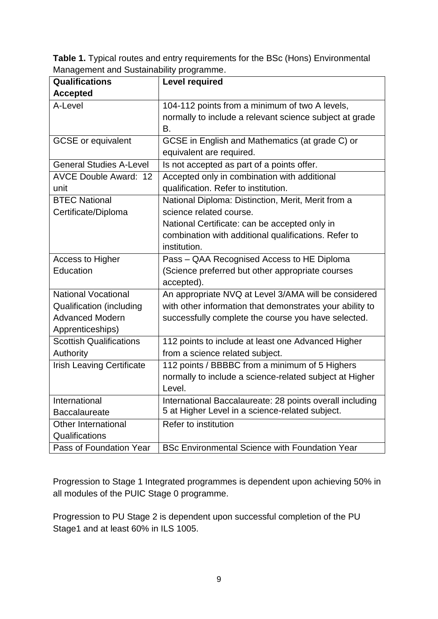**Table 1.** Typical routes and entry requirements for the BSc (Hons) Environmental Management and Sustainability programme.

|                                  | . די ביש די                                              |
|----------------------------------|----------------------------------------------------------|
| <b>Qualifications</b>            | <b>Level required</b>                                    |
| <b>Accepted</b>                  |                                                          |
| A-Level                          | 104-112 points from a minimum of two A levels,           |
|                                  | normally to include a relevant science subject at grade  |
|                                  | В.                                                       |
| <b>GCSE</b> or equivalent        | GCSE in English and Mathematics (at grade C) or          |
|                                  | equivalent are required.                                 |
| <b>General Studies A-Level</b>   | Is not accepted as part of a points offer.               |
| <b>AVCE Double Award: 12</b>     | Accepted only in combination with additional             |
| unit                             | qualification. Refer to institution.                     |
| <b>BTEC National</b>             | National Diploma: Distinction, Merit, Merit from a       |
| Certificate/Diploma              | science related course.                                  |
|                                  | National Certificate: can be accepted only in            |
|                                  | combination with additional qualifications. Refer to     |
|                                  | institution.                                             |
| Access to Higher                 | Pass - QAA Recognised Access to HE Diploma               |
| Education                        | (Science preferred but other appropriate courses         |
|                                  | accepted).                                               |
| <b>National Vocational</b>       | An appropriate NVQ at Level 3/AMA will be considered     |
| <b>Qualification (including</b>  | with other information that demonstrates your ability to |
| <b>Advanced Modern</b>           | successfully complete the course you have selected.      |
| Apprenticeships)                 |                                                          |
| <b>Scottish Qualifications</b>   | 112 points to include at least one Advanced Higher       |
| Authority                        | from a science related subject.                          |
| <b>Irish Leaving Certificate</b> | 112 points / BBBBC from a minimum of 5 Highers           |
|                                  | normally to include a science-related subject at Higher  |
|                                  | Level.                                                   |
| International                    | International Baccalaureate: 28 points overall including |
| <b>Baccalaureate</b>             | 5 at Higher Level in a science-related subject.          |
| <b>Other International</b>       | Refer to institution                                     |
| Qualifications                   |                                                          |
| Pass of Foundation Year          | <b>BSc Environmental Science with Foundation Year</b>    |

Progression to Stage 1 Integrated programmes is dependent upon achieving 50% in all modules of the PUIC Stage 0 programme.

Progression to PU Stage 2 is dependent upon successful completion of the PU Stage1 and at least 60% in ILS 1005.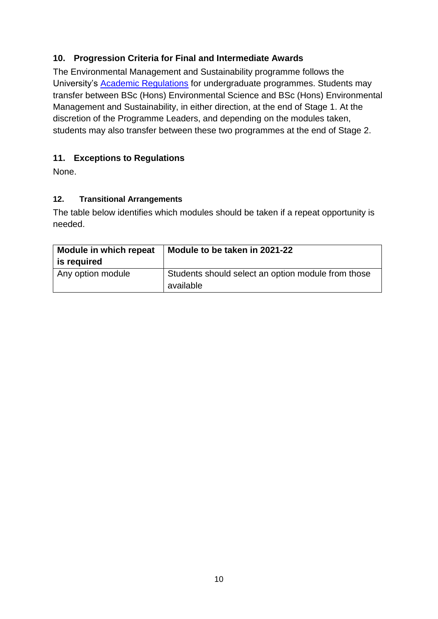## **10. Progression Criteria for Final and Intermediate Awards**

The Environmental Management and Sustainability programme follows the University's [Academic Regulations](https://www.plymouth.ac.uk/student-life/your-studies/essential-information/regulations) for undergraduate programmes. Students may transfer between BSc (Hons) Environmental Science and BSc (Hons) Environmental Management and Sustainability, in either direction, at the end of Stage 1. At the discretion of the Programme Leaders, and depending on the modules taken, students may also transfer between these two programmes at the end of Stage 2.

## **11. Exceptions to Regulations**

None.

#### **12. Transitional Arrangements**

The table below identifies which modules should be taken if a repeat opportunity is needed.

| Module in which repeat<br>is required | Module to be taken in 2021-22                                   |
|---------------------------------------|-----------------------------------------------------------------|
| Any option module                     | Students should select an option module from those<br>available |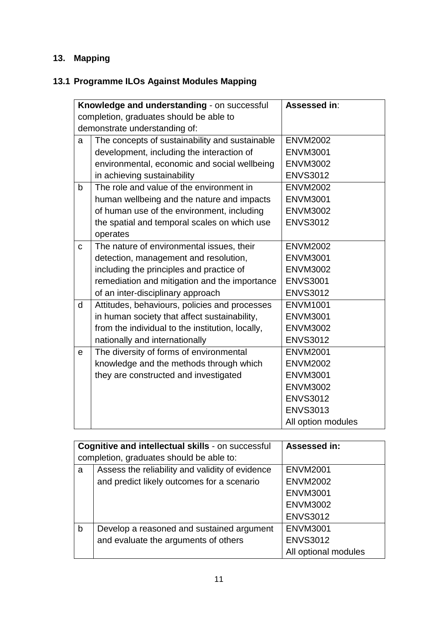# **13. Mapping**

# **13.1 Programme ILOs Against Modules Mapping**

|   | Knowledge and understanding - on successful      | Assessed in:       |
|---|--------------------------------------------------|--------------------|
|   | completion, graduates should be able to          |                    |
|   | demonstrate understanding of:                    |                    |
| а | The concepts of sustainability and sustainable   | <b>ENVM2002</b>    |
|   | development, including the interaction of        | <b>ENVM3001</b>    |
|   | environmental, economic and social wellbeing     | <b>ENVM3002</b>    |
|   | in achieving sustainability                      | <b>ENVS3012</b>    |
| b | The role and value of the environment in         | <b>ENVM2002</b>    |
|   | human wellbeing and the nature and impacts       | <b>ENVM3001</b>    |
|   | of human use of the environment, including       | <b>ENVM3002</b>    |
|   | the spatial and temporal scales on which use     | <b>ENVS3012</b>    |
|   | operates                                         |                    |
| C | The nature of environmental issues, their        | <b>ENVM2002</b>    |
|   | detection, management and resolution,            | <b>ENVM3001</b>    |
|   | including the principles and practice of         | <b>ENVM3002</b>    |
|   | remediation and mitigation and the importance    | <b>ENVS3001</b>    |
|   | of an inter-disciplinary approach                | <b>ENVS3012</b>    |
| d | Attitudes, behaviours, policies and processes    | <b>ENVM1001</b>    |
|   | in human society that affect sustainability,     | <b>ENVM3001</b>    |
|   | from the individual to the institution, locally, | <b>ENVM3002</b>    |
|   | nationally and internationally                   | <b>ENVS3012</b>    |
| e | The diversity of forms of environmental          | <b>ENVM2001</b>    |
|   | knowledge and the methods through which          | <b>ENVM2002</b>    |
|   | they are constructed and investigated            | <b>ENVM3001</b>    |
|   |                                                  | <b>ENVM3002</b>    |
|   |                                                  | <b>ENVS3012</b>    |
|   |                                                  | <b>ENVS3013</b>    |
|   |                                                  | All option modules |

|   | Cognitive and intellectual skills - on successful | <b>Assessed in:</b>  |
|---|---------------------------------------------------|----------------------|
|   | completion, graduates should be able to:          |                      |
| a | Assess the reliability and validity of evidence   | <b>ENVM2001</b>      |
|   | and predict likely outcomes for a scenario        | <b>ENVM2002</b>      |
|   |                                                   | <b>ENVM3001</b>      |
|   |                                                   | <b>ENVM3002</b>      |
|   |                                                   | <b>ENVS3012</b>      |
| b | Develop a reasoned and sustained argument         | <b>ENVM3001</b>      |
|   | and evaluate the arguments of others              | <b>ENVS3012</b>      |
|   |                                                   | All optional modules |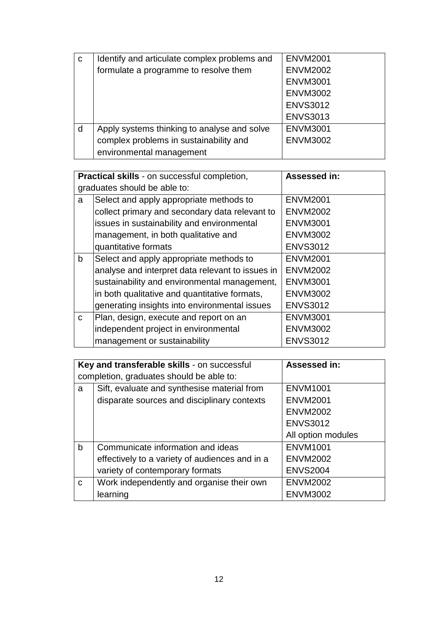| $\mathbf C$ | Identify and articulate complex problems and | <b>ENVM2001</b> |
|-------------|----------------------------------------------|-----------------|
|             | formulate a programme to resolve them        | <b>ENVM2002</b> |
|             |                                              | <b>ENVM3001</b> |
|             |                                              | <b>ENVM3002</b> |
|             |                                              | <b>ENVS3012</b> |
|             |                                              | <b>ENVS3013</b> |
| d           | Apply systems thinking to analyse and solve  | <b>ENVM3001</b> |
|             | complex problems in sustainability and       | <b>ENVM3002</b> |
|             | environmental management                     |                 |

|              | Practical skills - on successful completion,     | Assessed in:    |
|--------------|--------------------------------------------------|-----------------|
|              | graduates should be able to:                     |                 |
| a            | Select and apply appropriate methods to          | <b>ENVM2001</b> |
|              | collect primary and secondary data relevant to   | <b>ENVM2002</b> |
|              | issues in sustainability and environmental       | <b>ENVM3001</b> |
|              | management, in both qualitative and              | <b>ENVM3002</b> |
|              | quantitative formats                             | <b>ENVS3012</b> |
| $\mathsf{b}$ | Select and apply appropriate methods to          | <b>ENVM2001</b> |
|              | analyse and interpret data relevant to issues in | <b>ENVM2002</b> |
|              | sustainability and environmental management,     | <b>ENVM3001</b> |
|              | in both qualitative and quantitative formats,    | <b>ENVM3002</b> |
|              | generating insights into environmental issues    | <b>ENVS3012</b> |
| $\mathsf{C}$ | Plan, design, execute and report on an           | <b>ENVM3001</b> |
|              | independent project in environmental             | <b>ENVM3002</b> |
|              | management or sustainability                     | <b>ENVS3012</b> |

|             | Key and transferable skills - on successful    | Assessed in:       |
|-------------|------------------------------------------------|--------------------|
|             | completion, graduates should be able to:       |                    |
| a           | Sift, evaluate and synthesise material from    | <b>ENVM1001</b>    |
|             | disparate sources and disciplinary contexts    | <b>ENVM2001</b>    |
|             |                                                | <b>ENVM2002</b>    |
|             |                                                | <b>ENVS3012</b>    |
|             |                                                | All option modules |
| b           | Communicate information and ideas              | <b>ENVM1001</b>    |
|             | effectively to a variety of audiences and in a | <b>ENVM2002</b>    |
|             | variety of contemporary formats                | <b>ENVS2004</b>    |
| $\mathbf C$ | Work independently and organise their own      | <b>ENVM2002</b>    |
|             | learning                                       | <b>ENVM3002</b>    |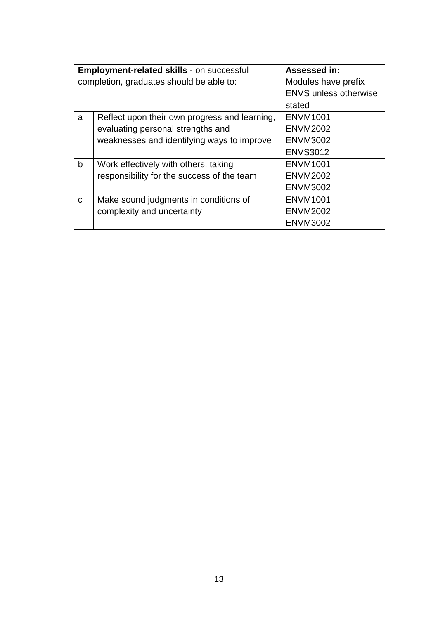|              | Employment-related skills - on successful     | <b>Assessed in:</b>          |
|--------------|-----------------------------------------------|------------------------------|
|              | completion, graduates should be able to:      | Modules have prefix          |
|              |                                               | <b>ENVS unless otherwise</b> |
|              |                                               | stated                       |
| a            | Reflect upon their own progress and learning, | <b>ENVM1001</b>              |
|              | evaluating personal strengths and             | <b>ENVM2002</b>              |
|              | weaknesses and identifying ways to improve    | <b>ENVM3002</b>              |
|              |                                               | <b>ENVS3012</b>              |
| $\mathsf{b}$ | Work effectively with others, taking          | <b>ENVM1001</b>              |
|              | responsibility for the success of the team    | <b>ENVM2002</b>              |
|              |                                               | <b>ENVM3002</b>              |
| $\mathbf{C}$ | Make sound judgments in conditions of         | <b>ENVM1001</b>              |
|              | complexity and uncertainty                    | <b>ENVM2002</b>              |
|              |                                               | <b>ENVM3002</b>              |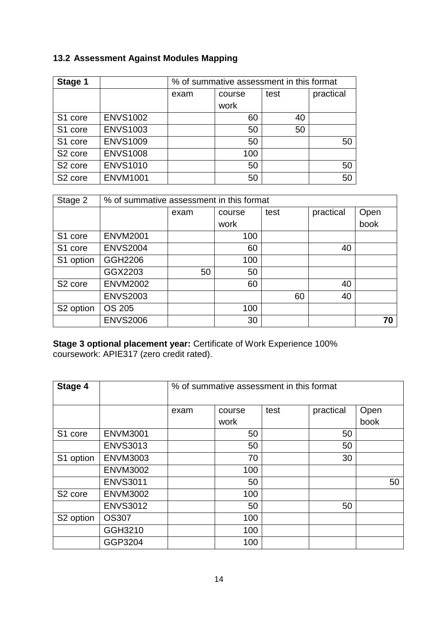# **13.2 Assessment Against Modules Mapping**

| Stage 1             |                 | % of summative assessment in this format |           |    |    |  |
|---------------------|-----------------|------------------------------------------|-----------|----|----|--|
|                     |                 | exam                                     | practical |    |    |  |
|                     |                 |                                          | work      |    |    |  |
| S1 core             | <b>ENVS1002</b> |                                          | 60        | 40 |    |  |
| S1 core             | <b>ENVS1003</b> |                                          | 50        | 50 |    |  |
| S1 core             | <b>ENVS1009</b> |                                          | 50        |    | 50 |  |
| S <sub>2</sub> core | <b>ENVS1008</b> |                                          | 100       |    |    |  |
| S <sub>2</sub> core | <b>ENVS1010</b> |                                          | 50        |    | 50 |  |
| S <sub>2</sub> core | <b>ENVM1001</b> |                                          | 50        |    | 50 |  |

| Stage 2               | % of summative assessment in this format |      |        |      |           |      |
|-----------------------|------------------------------------------|------|--------|------|-----------|------|
|                       |                                          | exam | course | test | practical | Open |
|                       |                                          |      | work   |      |           | book |
| S1 core               | <b>ENVM2001</b>                          |      | 100    |      |           |      |
| S1 core               | <b>ENVS2004</b>                          |      | 60     |      | 40        |      |
| S1 option             | GGH2206                                  |      | 100    |      |           |      |
|                       | GGX2203                                  | 50   | 50     |      |           |      |
| S <sub>2</sub> core   | <b>ENVM2002</b>                          |      | 60     |      | 40        |      |
|                       | <b>ENVS2003</b>                          |      |        | 60   | 40        |      |
| S <sub>2</sub> option | <b>OS 205</b>                            |      | 100    |      |           |      |
|                       | <b>ENVS2006</b>                          |      | 30     |      |           | 70   |

**Stage 3 optional placement year:** Certificate of Work Experience 100% coursework: APIE317 (zero credit rated).

| Stage 4               |                 |      | % of summative assessment in this format |      |           |      |
|-----------------------|-----------------|------|------------------------------------------|------|-----------|------|
|                       |                 | exam | course                                   | test | practical | Open |
|                       |                 |      | work                                     |      |           | book |
| S1 core               | <b>ENVM3001</b> |      | 50                                       |      | 50        |      |
|                       | <b>ENVS3013</b> |      | 50                                       |      | 50        |      |
| S1 option             | <b>ENVM3003</b> |      | 70                                       |      | 30        |      |
|                       | <b>ENVM3002</b> |      | 100                                      |      |           |      |
|                       | <b>ENVS3011</b> |      | 50                                       |      |           | 50   |
| S <sub>2</sub> core   | <b>ENVM3002</b> |      | 100                                      |      |           |      |
|                       | <b>ENVS3012</b> |      | 50                                       |      | 50        |      |
| S <sub>2</sub> option | <b>OS307</b>    |      | 100                                      |      |           |      |
|                       | GGH3210         |      | 100                                      |      |           |      |
|                       | GGP3204         |      | 100                                      |      |           |      |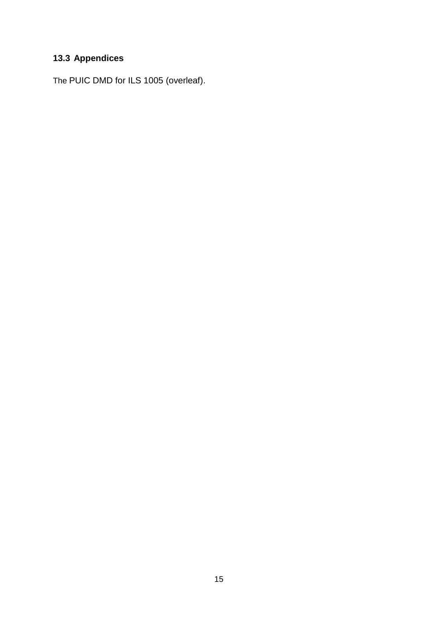# **13.3 Appendices**

The PUIC DMD for ILS 1005 (overleaf).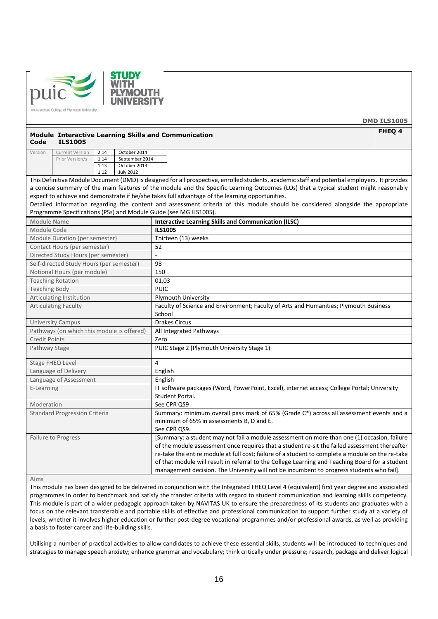



**DMD ILS1005 FHEQ 4**

#### **Module Interactive Learning Skills and Communication Code ILS1005**

| Version | <b>Current Version</b> | 2.14  | October 2014     |
|---------|------------------------|-------|------------------|
|         | Prior Version/s        | 1.14  | September 2014   |
|         |                        | 1.13  | October 2013     |
|         |                        | 1 1 2 | <b>July 2012</b> |

This Definitive Module Document (DMD) is designed for all prospective, enrolled students, academic staff and potential employers. It provides a concise summary of the main features of the module and the Specific Learning Outcomes (LOs) that a typical student might reasonably expect to achieve and demonstrate if he/she takes full advantage of the learning opportunities.

Detailed information regarding the content and assessment criteria of this module should be considered alongside the appropriate Programme Specifications (PSs) and Module Guide (see MG ILS1005).

| <b>Module Name</b>                         | <b>Interactive Learning Skills and Communication (ILSC)</b>                                      |
|--------------------------------------------|--------------------------------------------------------------------------------------------------|
| <b>Module Code</b>                         | <b>ILS1005</b>                                                                                   |
| Module Duration (per semester)             | Thirteen (13) weeks                                                                              |
| Contact Hours (per semester)               | 52                                                                                               |
| Directed Study Hours (per semester)        |                                                                                                  |
| Self-directed Study Hours (per semester)   | 98                                                                                               |
| Notional Hours (per module)                | 150                                                                                              |
| <b>Teaching Rotation</b>                   | 01,03                                                                                            |
| <b>Teaching Body</b>                       | <b>PUIC</b>                                                                                      |
| Articulating Institution                   | <b>Plymouth University</b>                                                                       |
| <b>Articulating Faculty</b>                | Faculty of Science and Environment; Faculty of Arts and Humanities; Plymouth Business            |
|                                            | School                                                                                           |
| <b>University Campus</b>                   | <b>Drakes Circus</b>                                                                             |
| Pathways (on which this module is offered) | All Integrated Pathways                                                                          |
| <b>Credit Points</b>                       | Zero                                                                                             |
| Pathway Stage                              | PUIC Stage 2 (Plymouth University Stage 1)                                                       |
| Stage FHEQ Level                           | 4                                                                                                |
| Language of Delivery                       | English                                                                                          |
| Language of Assessment                     | English                                                                                          |
| E-Learning                                 | IT software packages (Word, PowerPoint, Excel), internet access; College Portal; University      |
|                                            | Student Portal.                                                                                  |
| Moderation                                 | See CPR QS9                                                                                      |
| <b>Standard Progression Criteria</b>       | Summary: minimum overall pass mark of 65% (Grade C*) across all assessment events and a          |
|                                            | minimum of 65% in assessments B, D and E.                                                        |
|                                            | See CPR QS9.                                                                                     |
| <b>Failure to Progress</b>                 | [Summary: a student may not fail a module assessment on more than one (1) occasion, failure      |
|                                            | of the module assessment once requires that a student re-sit the failed assessment thereafter    |
|                                            | re-take the entire module at full cost; failure of a student to complete a module on the re-take |
|                                            | of that module will result in referral to the College Learning and Teaching Board for a student  |
|                                            | management decision. The University will not be incumbent to progress students who fail].        |

#### **Aims**

This module has been designed to be delivered in conjunction with the Integrated FHEQ Level 4 (equivalent) first year degree and associated programmes in order to benchmark and satisfy the transfer criteria with regard to student communication and learning skills competency. This module is part of a wider pedagogic approach taken by NAVITAS UK to ensure the preparedness of its students and graduates with a focus on the relevant transferable and portable skills of effective and professional communication to support further study at a variety of levels, whether it involves higher education or further post-degree vocational programmes and/or professional awards, as well as providing a basis to foster career and life-building skills.

Utilising a number of practical activities to allow candidates to achieve these essential skills, students will be introduced to techniques and strategies to manage speech anxiety; enhance grammar and vocabulary; think critically under pressure; research, package and deliver logical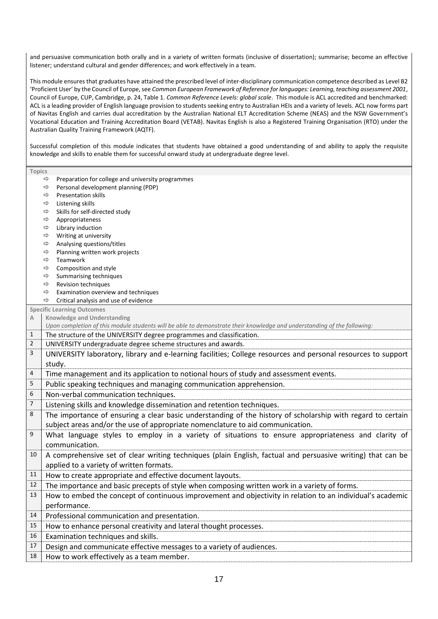and persuasive communication both orally and in a variety of written formats (inclusive of dissertation); summarise; become an effective listener; understand cultural and gender differences; and work effectively in a team.

This module ensures that graduates have attained the prescribed level of inter-disciplinary communication competence described as Level B2 'Proficient User' by the Council of Europe, see *Common European Framework of Reference for languages: Learning, teaching assessment 2001*, Council of Europe, CUP, Cambridge, p. 24, Table 1. *Common Reference Levels: global scale*. This module is ACL accredited and benchmarked: ACL is a leading provider of English language provision to students seeking entry to Australian HEIs and a variety of levels. ACL now forms part of Navitas English and carries dual accreditation by the Australian National ELT Accreditation Scheme (NEAS) and the NSW Government's Vocational Education and Training Accreditation Board (VETAB). Navitas English is also a Registered Training Organisation (RTO) under the Australian Quality Training Framework (AQTF).

Successful completion of this module indicates that students have obtained a good understanding of and ability to apply the requisite knowledge and skills to enable them for successful onward study at undergraduate degree level.

| Topics                     |                                                                                                                         |  |  |  |  |  |
|----------------------------|-------------------------------------------------------------------------------------------------------------------------|--|--|--|--|--|
|                            | Preparation for college and university programmes<br>⇨                                                                  |  |  |  |  |  |
|                            | Personal development planning (PDP)<br>⇨                                                                                |  |  |  |  |  |
|                            | Presentation skills<br>⇨                                                                                                |  |  |  |  |  |
|                            | ⇨<br>Listening skills                                                                                                   |  |  |  |  |  |
|                            | Skills for self-directed study<br>⇨                                                                                     |  |  |  |  |  |
|                            | $\Rightarrow$<br>Appropriateness                                                                                        |  |  |  |  |  |
|                            | Library induction<br>⇨                                                                                                  |  |  |  |  |  |
| Writing at university<br>⇨ |                                                                                                                         |  |  |  |  |  |
|                            | Analysing questions/titles<br>⇨                                                                                         |  |  |  |  |  |
|                            | Planning written work projects<br>⇨<br>Teamwork<br>⇨                                                                    |  |  |  |  |  |
|                            | Composition and style<br>⇨                                                                                              |  |  |  |  |  |
|                            | Summarising techniques<br>⇨                                                                                             |  |  |  |  |  |
|                            | Revision techniques<br>⇨                                                                                                |  |  |  |  |  |
|                            | Examination overview and techniques<br>⇨                                                                                |  |  |  |  |  |
|                            | Critical analysis and use of evidence<br>$\Rightarrow$                                                                  |  |  |  |  |  |
|                            | <b>Specific Learning Outcomes</b>                                                                                       |  |  |  |  |  |
| Α                          | <b>Knowledge and Understanding</b>                                                                                      |  |  |  |  |  |
|                            | Upon completion of this module students will be able to demonstrate their knowledge and understanding of the following: |  |  |  |  |  |
| $\mathbf{1}$               | The structure of the UNIVERSITY degree programmes and classification.                                                   |  |  |  |  |  |
| 2                          | UNIVERSITY undergraduate degree scheme structures and awards.                                                           |  |  |  |  |  |
| 3                          | UNIVERSITY laboratory, library and e-learning facilities; College resources and personal resources to support           |  |  |  |  |  |
|                            | study.                                                                                                                  |  |  |  |  |  |
| 4                          | Time management and its application to notional hours of study and assessment events.                                   |  |  |  |  |  |
| 5                          | Public speaking techniques and managing communication apprehension.                                                     |  |  |  |  |  |
| 6                          | Non-verbal communication techniques.                                                                                    |  |  |  |  |  |
| 7                          | Listening skills and knowledge dissemination and retention techniques.                                                  |  |  |  |  |  |
| 8                          | The importance of ensuring a clear basic understanding of the history of scholarship with regard to certain             |  |  |  |  |  |
|                            | subject areas and/or the use of appropriate nomenclature to aid communication.                                          |  |  |  |  |  |
| 9                          | What language styles to employ in a variety of situations to ensure appropriateness and clarity of                      |  |  |  |  |  |
|                            | communication.                                                                                                          |  |  |  |  |  |
| 10                         | A comprehensive set of clear writing techniques (plain English, factual and persuasive writing) that can be             |  |  |  |  |  |
|                            | applied to a variety of written formats.                                                                                |  |  |  |  |  |
| 11                         | How to create appropriate and effective document layouts.                                                               |  |  |  |  |  |
| 12                         | The importance and basic precepts of style when composing written work in a variety of forms.                           |  |  |  |  |  |
| 13                         | How to embed the concept of continuous improvement and objectivity in relation to an individual's academic              |  |  |  |  |  |
|                            | performance.                                                                                                            |  |  |  |  |  |
| 14                         | Professional communication and presentation.                                                                            |  |  |  |  |  |
| 15                         | How to enhance personal creativity and lateral thought processes.                                                       |  |  |  |  |  |
| 16                         | Examination techniques and skills.                                                                                      |  |  |  |  |  |
| 17                         | Design and communicate effective messages to a variety of audiences.                                                    |  |  |  |  |  |
| 18                         | How to work effectively as a team member.                                                                               |  |  |  |  |  |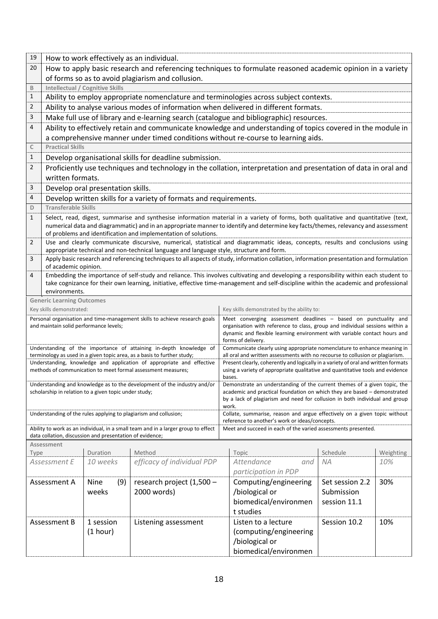| 19                                                                 |                                                                                                                                                                                                                            |                                                          | How to work effectively as an individual.                                                                                             |                                                                                                                                                                      |                                                                                                                                        |                 |           |
|--------------------------------------------------------------------|----------------------------------------------------------------------------------------------------------------------------------------------------------------------------------------------------------------------------|----------------------------------------------------------|---------------------------------------------------------------------------------------------------------------------------------------|----------------------------------------------------------------------------------------------------------------------------------------------------------------------|----------------------------------------------------------------------------------------------------------------------------------------|-----------------|-----------|
| 20                                                                 | How to apply basic research and referencing techniques to formulate reasoned academic opinion in a variety                                                                                                                 |                                                          |                                                                                                                                       |                                                                                                                                                                      |                                                                                                                                        |                 |           |
|                                                                    |                                                                                                                                                                                                                            |                                                          | of forms so as to avoid plagiarism and collusion.                                                                                     |                                                                                                                                                                      |                                                                                                                                        |                 |           |
| B                                                                  |                                                                                                                                                                                                                            | <b>Intellectual / Cognitive Skills</b>                   |                                                                                                                                       |                                                                                                                                                                      |                                                                                                                                        |                 |           |
| 1<br>$\overline{2}$                                                |                                                                                                                                                                                                                            |                                                          |                                                                                                                                       |                                                                                                                                                                      | Ability to employ appropriate nomenclature and terminologies across subject contexts.                                                  |                 |           |
|                                                                    |                                                                                                                                                                                                                            |                                                          |                                                                                                                                       |                                                                                                                                                                      | Ability to analyse various modes of information when delivered in different formats.                                                   |                 |           |
| 3                                                                  |                                                                                                                                                                                                                            |                                                          |                                                                                                                                       |                                                                                                                                                                      | Make full use of library and e-learning search (catalogue and bibliographic) resources.                                                |                 |           |
| 4                                                                  |                                                                                                                                                                                                                            |                                                          |                                                                                                                                       |                                                                                                                                                                      | Ability to effectively retain and communicate knowledge and understanding of topics covered in the module in                           |                 |           |
|                                                                    |                                                                                                                                                                                                                            |                                                          |                                                                                                                                       |                                                                                                                                                                      | a comprehensive manner under timed conditions without re-course to learning aids.                                                      |                 |           |
| C                                                                  | <b>Practical Skills</b>                                                                                                                                                                                                    |                                                          |                                                                                                                                       |                                                                                                                                                                      |                                                                                                                                        |                 |           |
| 1                                                                  |                                                                                                                                                                                                                            |                                                          | Develop organisational skills for deadline submission.                                                                                |                                                                                                                                                                      |                                                                                                                                        |                 |           |
| $\overline{2}$                                                     | Proficiently use techniques and technology in the collation, interpretation and presentation of data in oral and<br>written formats.                                                                                       |                                                          |                                                                                                                                       |                                                                                                                                                                      |                                                                                                                                        |                 |           |
| 3                                                                  |                                                                                                                                                                                                                            | Develop oral presentation skills.                        |                                                                                                                                       |                                                                                                                                                                      |                                                                                                                                        |                 |           |
| 4                                                                  |                                                                                                                                                                                                                            |                                                          | Develop written skills for a variety of formats and requirements.                                                                     |                                                                                                                                                                      |                                                                                                                                        |                 |           |
| D                                                                  | <b>Transferable Skills</b>                                                                                                                                                                                                 |                                                          |                                                                                                                                       |                                                                                                                                                                      |                                                                                                                                        |                 |           |
| 1                                                                  |                                                                                                                                                                                                                            |                                                          |                                                                                                                                       |                                                                                                                                                                      | Select, read, digest, summarise and synthesise information material in a variety of forms, both qualitative and quantitative (text,    |                 |           |
|                                                                    |                                                                                                                                                                                                                            |                                                          |                                                                                                                                       |                                                                                                                                                                      | numerical data and diagrammatic) and in an appropriate manner to identify and determine key facts/themes, relevancy and assessment     |                 |           |
|                                                                    |                                                                                                                                                                                                                            |                                                          | of problems and identification and implementation of solutions.                                                                       |                                                                                                                                                                      |                                                                                                                                        |                 |           |
| $\overline{2}$                                                     | Use and clearly communicate discursive, numerical, statistical and diagrammatic ideas, concepts, results and conclusions using<br>appropriate technical and non-technical language and language style, structure and form. |                                                          |                                                                                                                                       |                                                                                                                                                                      |                                                                                                                                        |                 |           |
| 3                                                                  | Apply basic research and referencing techniques to all aspects of study, information collation, information presentation and formulation<br>of academic opinion.                                                           |                                                          |                                                                                                                                       |                                                                                                                                                                      |                                                                                                                                        |                 |           |
| 4                                                                  |                                                                                                                                                                                                                            |                                                          |                                                                                                                                       |                                                                                                                                                                      | Embedding the importance of self-study and reliance. This involves cultivating and developing a responsibility within each student to  |                 |           |
|                                                                    |                                                                                                                                                                                                                            |                                                          |                                                                                                                                       |                                                                                                                                                                      | take cognizance for their own learning, initiative, effective time-management and self-discipline within the academic and professional |                 |           |
|                                                                    | environments.                                                                                                                                                                                                              |                                                          |                                                                                                                                       |                                                                                                                                                                      |                                                                                                                                        |                 |           |
|                                                                    | <b>Generic Learning Outcomes</b>                                                                                                                                                                                           |                                                          |                                                                                                                                       |                                                                                                                                                                      |                                                                                                                                        |                 |           |
|                                                                    | Key skills demonstrated:                                                                                                                                                                                                   |                                                          |                                                                                                                                       | Key skills demonstrated by the ability to:                                                                                                                           |                                                                                                                                        |                 |           |
|                                                                    | and maintain solid performance levels;                                                                                                                                                                                     |                                                          | Personal organisation and time-management skills to achieve research goals                                                            | Meet converging assessment deadlines - based on punctuality and<br>organisation with reference to class, group and individual sessions within a                      |                                                                                                                                        |                 |           |
|                                                                    |                                                                                                                                                                                                                            |                                                          |                                                                                                                                       | dynamic and flexible learning environment with variable contact hours and                                                                                            |                                                                                                                                        |                 |           |
| Understanding of the importance of attaining in-depth knowledge of |                                                                                                                                                                                                                            |                                                          |                                                                                                                                       | forms of delivery.<br>Communicate clearly using appropriate nomenclature to enhance meaning in                                                                       |                                                                                                                                        |                 |           |
|                                                                    |                                                                                                                                                                                                                            |                                                          | terminology as used in a given topic area, as a basis to further study;                                                               | all oral and written assessments with no recourse to collusion or plagiarism.                                                                                        |                                                                                                                                        |                 |           |
|                                                                    |                                                                                                                                                                                                                            |                                                          | Understanding, knowledge and application of appropriate and effective<br>methods of communication to meet formal assessment measures; | Present clearly, coherently and logically in a variety of oral and written formats<br>using a variety of appropriate qualitative and quantitative tools and evidence |                                                                                                                                        |                 |           |
|                                                                    |                                                                                                                                                                                                                            |                                                          |                                                                                                                                       | bases.                                                                                                                                                               |                                                                                                                                        |                 |           |
|                                                                    |                                                                                                                                                                                                                            | scholarship in relation to a given topic under study;    | Understanding and knowledge as to the development of the industry and/or                                                              | Demonstrate an understanding of the current themes of a given topic, the<br>academic and practical foundation on which they are based - demonstrated                 |                                                                                                                                        |                 |           |
|                                                                    |                                                                                                                                                                                                                            |                                                          |                                                                                                                                       |                                                                                                                                                                      | by a lack of plagiarism and need for collusion in both individual and group                                                            |                 |           |
|                                                                    |                                                                                                                                                                                                                            |                                                          | Understanding of the rules applying to plagiarism and collusion;                                                                      |                                                                                                                                                                      | work.<br>Collate, summarise, reason and argue effectively on a given topic without                                                     |                 |           |
|                                                                    |                                                                                                                                                                                                                            |                                                          |                                                                                                                                       |                                                                                                                                                                      | reference to another's work or ideas/concepts.                                                                                         |                 |           |
|                                                                    | Ability to work as an individual, in a small team and in a larger group to effect<br>Meet and succeed in each of the varied assessments presented.                                                                         |                                                          |                                                                                                                                       |                                                                                                                                                                      |                                                                                                                                        |                 |           |
|                                                                    |                                                                                                                                                                                                                            | data collation, discussion and presentation of evidence; |                                                                                                                                       |                                                                                                                                                                      |                                                                                                                                        |                 |           |
| Type                                                               | Assessment                                                                                                                                                                                                                 | Duration                                                 | Method                                                                                                                                |                                                                                                                                                                      | Topic                                                                                                                                  | Schedule        | Weighting |
|                                                                    | Assessment E                                                                                                                                                                                                               | 10 weeks                                                 | efficacy of individual PDP                                                                                                            |                                                                                                                                                                      | Attendance<br>and                                                                                                                      | ΝA              | 10%       |
|                                                                    |                                                                                                                                                                                                                            |                                                          |                                                                                                                                       |                                                                                                                                                                      | participation in PDP                                                                                                                   |                 |           |
|                                                                    | Assessment A                                                                                                                                                                                                               | Nine<br>(9)                                              | research project (1,500 -                                                                                                             |                                                                                                                                                                      | Computing/engineering                                                                                                                  | Set session 2.2 | 30%       |
|                                                                    |                                                                                                                                                                                                                            | weeks                                                    | 2000 words)                                                                                                                           |                                                                                                                                                                      | /biological or                                                                                                                         | Submission      |           |
|                                                                    |                                                                                                                                                                                                                            |                                                          |                                                                                                                                       |                                                                                                                                                                      | biomedical/environmen                                                                                                                  | session 11.1    |           |
|                                                                    |                                                                                                                                                                                                                            |                                                          |                                                                                                                                       |                                                                                                                                                                      | t studies                                                                                                                              |                 |           |
|                                                                    | Assessment B                                                                                                                                                                                                               | 1 session                                                | Listening assessment                                                                                                                  |                                                                                                                                                                      | Listen to a lecture                                                                                                                    | Session 10.2    | 10%       |
|                                                                    |                                                                                                                                                                                                                            | (1 hour)                                                 |                                                                                                                                       |                                                                                                                                                                      | (computing/engineering                                                                                                                 |                 |           |
|                                                                    |                                                                                                                                                                                                                            |                                                          | /biological or                                                                                                                        |                                                                                                                                                                      |                                                                                                                                        |                 |           |
| biomedical/environmen                                              |                                                                                                                                                                                                                            |                                                          |                                                                                                                                       |                                                                                                                                                                      |                                                                                                                                        |                 |           |
|                                                                    |                                                                                                                                                                                                                            |                                                          |                                                                                                                                       |                                                                                                                                                                      |                                                                                                                                        |                 |           |